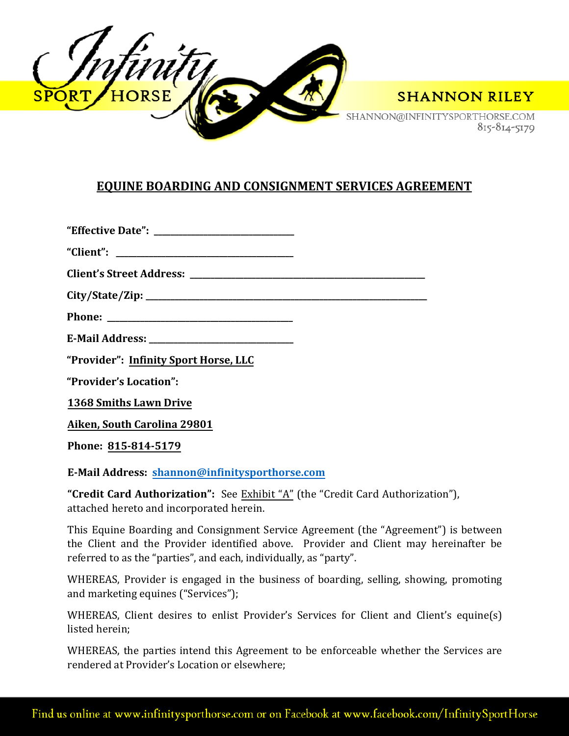

SHANNON@INFINITYSPORTHORSE.COM 815-814-5179

## **EQUINE BOARDING AND CONSIGNMENT SERVICES AGREEMENT**

| "Effective Date": |  |
|-------------------|--|
|-------------------|--|

**"Client": \_\_\_\_\_\_\_\_\_\_\_\_\_\_\_\_\_\_\_\_\_\_\_\_\_\_\_\_\_\_\_\_\_\_\_\_\_\_\_\_\_\_\_**

**Client's Street Address: \_\_\_\_\_\_\_\_\_\_\_\_\_\_\_\_\_\_\_\_\_\_\_\_\_\_\_\_\_\_\_\_\_\_\_\_\_\_\_\_\_\_\_\_\_\_\_\_\_\_\_\_\_\_\_\_\_** 

**City/State/Zip: \_\_\_\_\_\_\_\_\_\_\_\_\_\_\_\_\_\_\_\_\_\_\_\_\_\_\_\_\_\_\_\_\_\_\_\_\_\_\_\_\_\_\_\_\_\_\_\_\_\_\_\_\_\_\_\_\_\_\_\_\_\_\_\_\_\_\_\_**

**Phone: \_\_\_\_\_\_\_\_\_\_\_\_\_\_\_\_\_\_\_\_\_\_\_\_\_\_\_\_\_\_\_\_\_\_\_\_\_\_\_\_\_\_\_\_\_**

**E-Mail Address: \_\_\_\_\_\_\_\_\_\_\_\_\_\_\_\_\_\_\_\_\_\_\_\_\_\_\_\_\_\_\_\_\_\_\_**

**"Provider": Infinity Sport Horse, LLC**

**"Provider's Location":** 

**1368 Smiths Lawn Drive**

**Aiken, South Carolina 29801**

**Phone: 815-814-5179**

**E-Mail Address: shannon@infinitysporthorse.com**

**"Credit Card Authorization":** See Exhibit "A" (the "Credit Card Authorization"), attached hereto and incorporated herein.

This Equine Boarding and Consignment Service Agreement (the "Agreement") is between the Client and the Provider identified above. Provider and Client may hereinafter be referred to as the "parties", and each, individually, as "party".

WHEREAS, Provider is engaged in the business of boarding, selling, showing, promoting and marketing equines ("Services");

WHEREAS, Client desires to enlist Provider's Services for Client and Client's equine(s) listed herein;

WHEREAS, the parties intend this Agreement to be enforceable whether the Services are rendered at Provider's Location or elsewhere;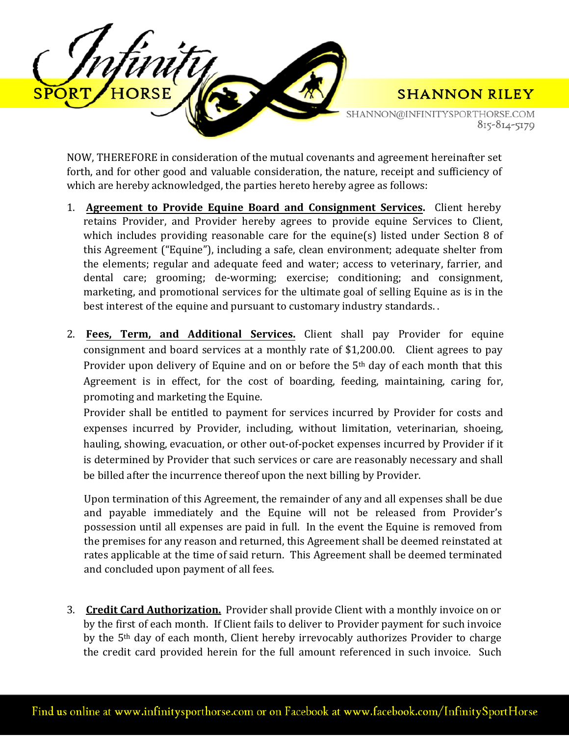

SHANNON@INFINITYSPORTHORSE.COM 815-814-5179

NOW, THEREFORE in consideration of the mutual covenants and agreement hereinafter set forth, and for other good and valuable consideration, the nature, receipt and sufficiency of which are hereby acknowledged, the parties hereto hereby agree as follows:

- 1. **Agreement to Provide Equine Board and Consignment Services.** Client hereby retains Provider, and Provider hereby agrees to provide equine Services to Client, which includes providing reasonable care for the equine(s) listed under Section 8 of this Agreement ("Equine"), including a safe, clean environment; adequate shelter from the elements; regular and adequate feed and water; access to veterinary, farrier, and dental care; grooming; de-worming; exercise; conditioning; and consignment, marketing, and promotional services for the ultimate goal of selling Equine as is in the best interest of the equine and pursuant to customary industry standards. .
- 2. **Fees, Term, and Additional Services.** Client shall pay Provider for equine consignment and board services at a monthly rate of \$1,200.00. Client agrees to pay Provider upon delivery of Equine and on or before the 5<sup>th</sup> day of each month that this Agreement is in effect, for the cost of boarding, feeding, maintaining, caring for, promoting and marketing the Equine.

Provider shall be entitled to payment for services incurred by Provider for costs and expenses incurred by Provider, including, without limitation, veterinarian, shoeing, hauling, showing, evacuation, or other out-of-pocket expenses incurred by Provider if it is determined by Provider that such services or care are reasonably necessary and shall be billed after the incurrence thereof upon the next billing by Provider.

Upon termination of this Agreement, the remainder of any and all expenses shall be due and payable immediately and the Equine will not be released from Provider's possession until all expenses are paid in full. In the event the Equine is removed from the premises for any reason and returned, this Agreement shall be deemed reinstated at rates applicable at the time of said return. This Agreement shall be deemed terminated and concluded upon payment of all fees.

3. **Credit Card Authorization.** Provider shall provide Client with a monthly invoice on or by the first of each month. If Client fails to deliver to Provider payment for such invoice by the 5<sup>th</sup> day of each month, Client hereby irrevocably authorizes Provider to charge the credit card provided herein for the full amount referenced in such invoice. Such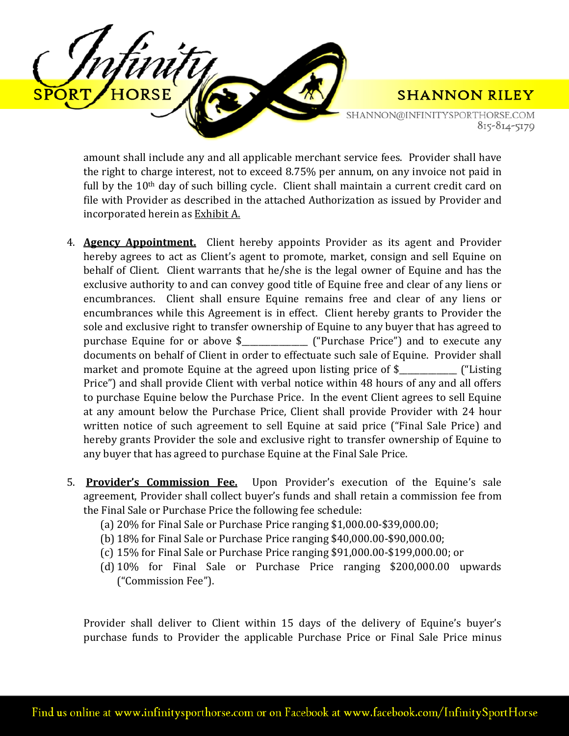

SHANNON@INFINITYSPORTHORSE.COM 815-814-5179

amount shall include any and all applicable merchant service fees. Provider shall have the right to charge interest, not to exceed 8.75% per annum, on any invoice not paid in full by the 10<sup>th</sup> day of such billing cycle. Client shall maintain a current credit card on file with Provider as described in the attached Authorization as issued by Provider and incorporated herein as Exhibit A.

- 4. **Agency Appointment.** Client hereby appoints Provider as its agent and Provider hereby agrees to act as Client's agent to promote, market, consign and sell Equine on behalf of Client. Client warrants that he/she is the legal owner of Equine and has the exclusive authority to and can convey good title of Equine free and clear of any liens or encumbrances. Client shall ensure Equine remains free and clear of any liens or encumbrances while this Agreement is in effect. Client hereby grants to Provider the sole and exclusive right to transfer ownership of Equine to any buyer that has agreed to purchase Equine for or above \$\_\_\_\_\_\_\_\_\_\_\_\_\_\_\_\_ ("Purchase Price") and to execute any documents on behalf of Client in order to effectuate such sale of Equine. Provider shall market and promote Equine at the agreed upon listing price of \$  $\qquad \qquad$  ("Listing") Price") and shall provide Client with verbal notice within 48 hours of any and all offers to purchase Equine below the Purchase Price. In the event Client agrees to sell Equine at any amount below the Purchase Price, Client shall provide Provider with 24 hour written notice of such agreement to sell Equine at said price ("Final Sale Price) and hereby grants Provider the sole and exclusive right to transfer ownership of Equine to any buyer that has agreed to purchase Equine at the Final Sale Price.
- 5. **Provider's Commission Fee.** Upon Provider's execution of the Equine's sale agreement, Provider shall collect buyer's funds and shall retain a commission fee from the Final Sale or Purchase Price the following fee schedule:
	- (a) 20% for Final Sale or Purchase Price ranging \$1,000.00-\$39,000.00;
	- (b) 18% for Final Sale or Purchase Price ranging \$40,000.00-\$90,000.00;
	- (c) 15% for Final Sale or Purchase Price ranging \$91,000.00-\$199,000.00; or
	- (d) 10% for Final Sale or Purchase Price ranging \$200,000.00 upwards ("Commission Fee").

Provider shall deliver to Client within 15 days of the delivery of Equine's buyer's purchase funds to Provider the applicable Purchase Price or Final Sale Price minus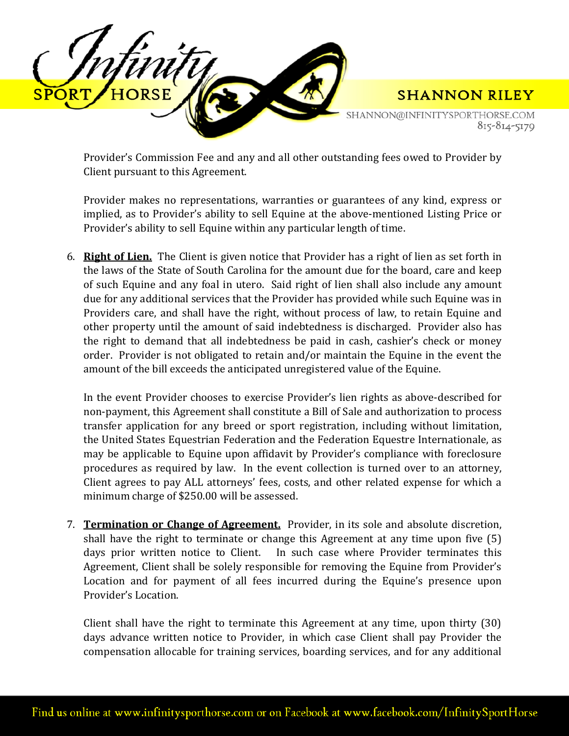

Provider's Commission Fee and any and all other outstanding fees owed to Provider by Client pursuant to this Agreement.

Provider makes no representations, warranties or guarantees of any kind, express or implied, as to Provider's ability to sell Equine at the above-mentioned Listing Price or Provider's ability to sell Equine within any particular length of time.

6. **Right of Lien.** The Client is given notice that Provider has a right of lien as set forth in the laws of the State of South Carolina for the amount due for the board, care and keep of such Equine and any foal in utero. Said right of lien shall also include any amount due for any additional services that the Provider has provided while such Equine was in Providers care, and shall have the right, without process of law, to retain Equine and other property until the amount of said indebtedness is discharged. Provider also has the right to demand that all indebtedness be paid in cash, cashier's check or money order. Provider is not obligated to retain and/or maintain the Equine in the event the amount of the bill exceeds the anticipated unregistered value of the Equine.

In the event Provider chooses to exercise Provider's lien rights as above-described for non-payment, this Agreement shall constitute a Bill of Sale and authorization to process transfer application for any breed or sport registration, including without limitation, the United States Equestrian Federation and the Federation Equestre Internationale, as may be applicable to Equine upon affidavit by Provider's compliance with foreclosure procedures as required by law. In the event collection is turned over to an attorney, Client agrees to pay ALL attorneys' fees, costs, and other related expense for which a minimum charge of \$250.00 will be assessed.

7. **Termination or Change of Agreement.** Provider, in its sole and absolute discretion, shall have the right to terminate or change this Agreement at any time upon five (5) days prior written notice to Client. In such case where Provider terminates this In such case where Provider terminates this Agreement, Client shall be solely responsible for removing the Equine from Provider's Location and for payment of all fees incurred during the Equine's presence upon Provider's Location.

Client shall have the right to terminate this Agreement at any time, upon thirty (30) days advance written notice to Provider, in which case Client shall pay Provider the compensation allocable for training services, boarding services, and for any additional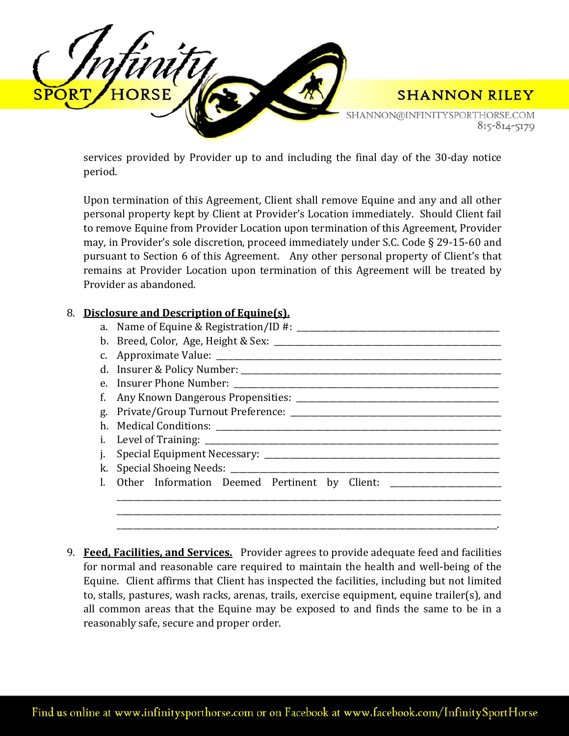

services provided by Provider up to and including the final day of the 30-day notice period.

Upon termination of this Agreement, Client shall remove Equine and any and all other personal property kept by Client at Provider's Location immediately. Should Client fail to remove Equine from Provider Location upon termination of this Agreement, Provider may, in Provider's sole discretion, proceed immediately under S.C. Code § 29-15-60 and pursuant to Section 6 of this Agreement. Any other personal property of Client's that remains at Provider Location upon termination of this Agreement will be treated by Provider as abandoned.

| 8. |    | Disclosure and Description of Equine(s).                                          |
|----|----|-----------------------------------------------------------------------------------|
|    |    |                                                                                   |
|    |    |                                                                                   |
|    |    |                                                                                   |
|    |    |                                                                                   |
|    |    |                                                                                   |
|    | f. |                                                                                   |
|    | g. |                                                                                   |
|    | h. |                                                                                   |
|    | i. |                                                                                   |
|    |    |                                                                                   |
|    |    |                                                                                   |
|    |    | Other Information Deemed Pertinent by Client: ___________________________________ |
|    |    |                                                                                   |
|    |    |                                                                                   |
|    |    |                                                                                   |

9. **Feed, Facilities, and Services.** Provider agrees to provide adequate feed and facilities for normal and reasonable care required to maintain the health and well-being of the Equine. Client affirms that Client has inspected the facilities, including but not limited to, stalls, pastures, wash racks, arenas, trails, exercise equipment, equine trailer(s), and all common areas that the Equine may be exposed to and finds the same to be in a reasonably safe, secure and proper order.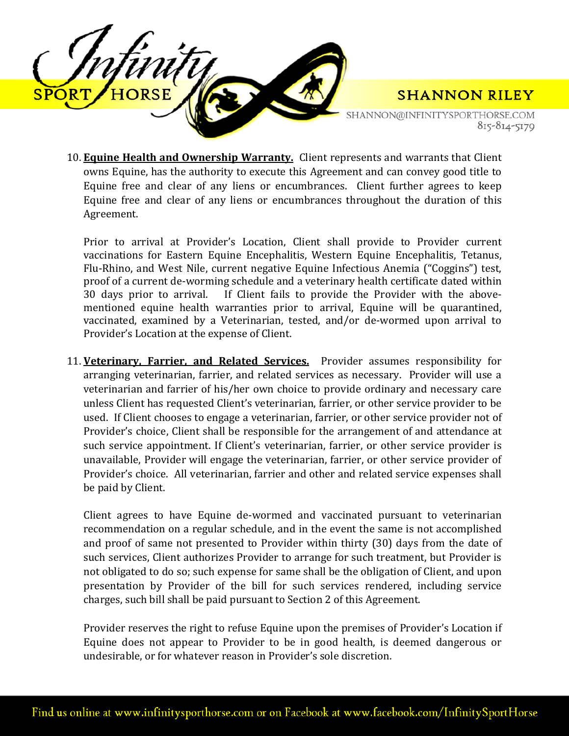

SHANNON@INFINITYSPORTHORSE.COM 815-814-5179

10. **Equine Health and Ownership Warranty.** Client represents and warrants that Client owns Equine, has the authority to execute this Agreement and can convey good title to Equine free and clear of any liens or encumbrances. Client further agrees to keep Equine free and clear of any liens or encumbrances throughout the duration of this Agreement.

Prior to arrival at Provider's Location, Client shall provide to Provider current vaccinations for Eastern Equine Encephalitis, Western Equine Encephalitis, Tetanus, Flu-Rhino, and West Nile, current negative Equine Infectious Anemia ("Coggins") test, proof of a current de-worming schedule and a veterinary health certificate dated within<br>30 days prior to arrival. If Client fails to provide the Provider with the above-If Client fails to provide the Provider with the abovementioned equine health warranties prior to arrival, Equine will be quarantined, vaccinated, examined by a Veterinarian, tested, and/or de-wormed upon arrival to Provider's Location at the expense of Client.

11. **Veterinary, Farrier, and Related Services.** Provider assumes responsibility for arranging veterinarian, farrier, and related services as necessary. Provider will use a veterinarian and farrier of his/her own choice to provide ordinary and necessary care unless Client has requested Client's veterinarian, farrier, or other service provider to be used. If Client chooses to engage a veterinarian, farrier, or other service provider not of Provider's choice, Client shall be responsible for the arrangement of and attendance at such service appointment. If Client's veterinarian, farrier, or other service provider is unavailable, Provider will engage the veterinarian, farrier, or other service provider of Provider's choice. All veterinarian, farrier and other and related service expenses shall be paid by Client.

Client agrees to have Equine de-wormed and vaccinated pursuant to veterinarian recommendation on a regular schedule, and in the event the same is not accomplished and proof of same not presented to Provider within thirty (30) days from the date of such services, Client authorizes Provider to arrange for such treatment, but Provider is not obligated to do so; such expense for same shall be the obligation of Client, and upon presentation by Provider of the bill for such services rendered, including service charges, such bill shall be paid pursuant to Section 2 of this Agreement.

Provider reserves the right to refuse Equine upon the premises of Provider's Location if Equine does not appear to Provider to be in good health, is deemed dangerous or undesirable, or for whatever reason in Provider's sole discretion.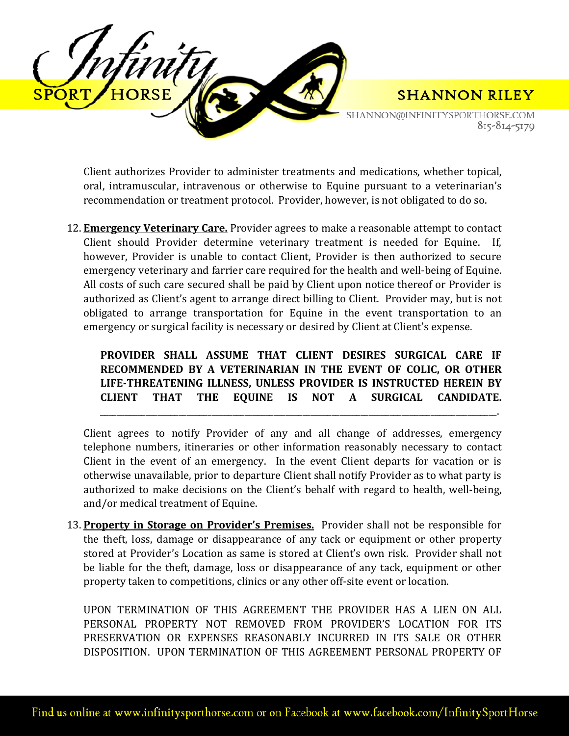

SHANNON@INFINITYSPORTHORSE.COM 815-814-5179

**SHANNON RILEY** 

Client authorizes Provider to administer treatments and medications, whether topical, oral, intramuscular, intravenous or otherwise to Equine pursuant to a veterinarian's recommendation or treatment protocol. Provider, however, is not obligated to do so.

12. **Emergency Veterinary Care.** Provider agrees to make a reasonable attempt to contact Client should Provider determine veterinary treatment is needed for Equine. If, however, Provider is unable to contact Client, Provider is then authorized to secure emergency veterinary and farrier care required for the health and well-being of Equine. All costs of such care secured shall be paid by Client upon notice thereof or Provider is authorized as Client's agent to arrange direct billing to Client. Provider may, but is not obligated to arrange transportation for Equine in the event transportation to an emergency or surgical facility is necessary or desired by Client at Client's expense.

## **PROVIDER SHALL ASSUME THAT CLIENT DESIRES SURGICAL CARE IF RECOMMENDED BY A VETERINARIAN IN THE EVENT OF COLIC, OR OTHER LIFE-THREATENING ILLNESS, UNLESS PROVIDER IS INSTRUCTED HEREIN BY CLIENT THAT THE EQUINE IS NOT A SURGICAL CANDIDATE.**

\_\_\_\_\_\_\_\_\_\_\_\_\_\_\_\_\_\_\_\_\_\_\_\_\_\_\_\_\_\_\_\_\_\_\_\_\_\_\_\_\_\_\_\_\_\_\_\_\_\_\_\_\_\_\_\_\_\_\_\_\_\_\_\_\_\_\_\_\_\_\_\_\_\_\_\_\_\_\_\_\_\_\_\_\_\_\_\_\_\_\_\_\_\_\_\_.

Client agrees to notify Provider of any and all change of addresses, emergency telephone numbers, itineraries or other information reasonably necessary to contact Client in the event of an emergency. In the event Client departs for vacation or is otherwise unavailable, prior to departure Client shall notify Provider as to what party is authorized to make decisions on the Client's behalf with regard to health, well-being, and/or medical treatment of Equine.

13. **Property in Storage on Provider's Premises.** Provider shall not be responsible for the theft, loss, damage or disappearance of any tack or equipment or other property stored at Provider's Location as same is stored at Client's own risk. Provider shall not be liable for the theft, damage, loss or disappearance of any tack, equipment or other property taken to competitions, clinics or any other off-site event or location.

UPON TERMINATION OF THIS AGREEMENT THE PROVIDER HAS A LIEN ON ALL PERSONAL PROPERTY NOT REMOVED FROM PROVIDER'S LOCATION FOR ITS PRESERVATION OR EXPENSES REASONABLY INCURRED IN ITS SALE OR OTHER DISPOSITION. UPON TERMINATION OF THIS AGREEMENT PERSONAL PROPERTY OF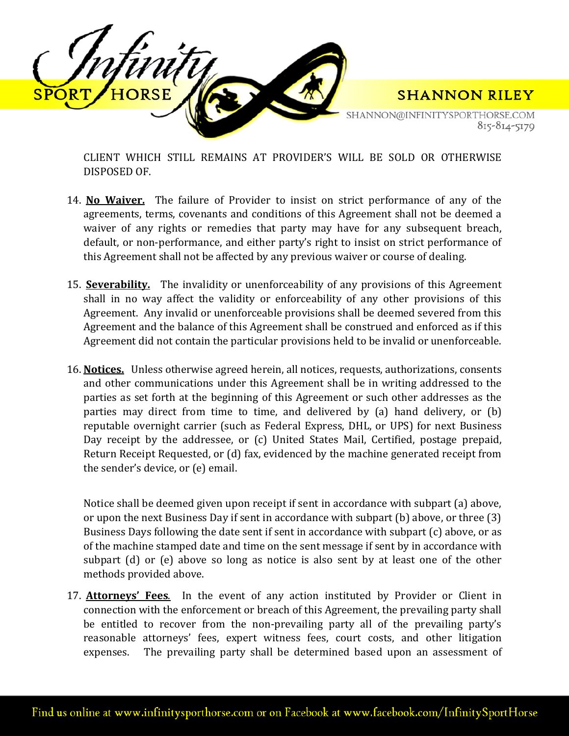

SHANNON@INFINITYSPORTHORSE.COM 815-814-5179

CLIENT WHICH STILL REMAINS AT PROVIDER'S WILL BE SOLD OR OTHERWISE DISPOSED OF.

- 14. **No Waiver.** The failure of Provider to insist on strict performance of any of the agreements, terms, covenants and conditions of this Agreement shall not be deemed a waiver of any rights or remedies that party may have for any subsequent breach, default, or non-performance, and either party's right to insist on strict performance of this Agreement shall not be affected by any previous waiver or course of dealing.
- 15. **Severability.** The invalidity or unenforceability of any provisions of this Agreement shall in no way affect the validity or enforceability of any other provisions of this Agreement. Any invalid or unenforceable provisions shall be deemed severed from this Agreement and the balance of this Agreement shall be construed and enforced as if this Agreement did not contain the particular provisions held to be invalid or unenforceable.
- 16. **Notices.** Unless otherwise agreed herein, all notices, requests, authorizations, consents and other communications under this Agreement shall be in writing addressed to the parties as set forth at the beginning of this Agreement or such other addresses as the parties may direct from time to time, and delivered by (a) hand delivery, or (b) reputable overnight carrier (such as Federal Express, DHL, or UPS) for next Business Day receipt by the addressee, or (c) United States Mail, Certified, postage prepaid, Return Receipt Requested, or (d) fax, evidenced by the machine generated receipt from the sender's device, or (e) email.

Notice shall be deemed given upon receipt if sent in accordance with subpart (a) above, or upon the next Business Day if sent in accordance with subpart (b) above, or three (3) Business Days following the date sent if sent in accordance with subpart (c) above, or as of the machine stamped date and time on the sent message if sent by in accordance with subpart (d) or (e) above so long as notice is also sent by at least one of the other methods provided above.

17. **Attorneys' Fees**. In the event of any action instituted by Provider or Client in connection with the enforcement or breach of this Agreement, the prevailing party shall be entitled to recover from the non-prevailing party all of the prevailing party's reasonable attorneys' fees, expert witness fees, court costs, and other litigation expenses. The prevailing party shall be determined based upon an assessment of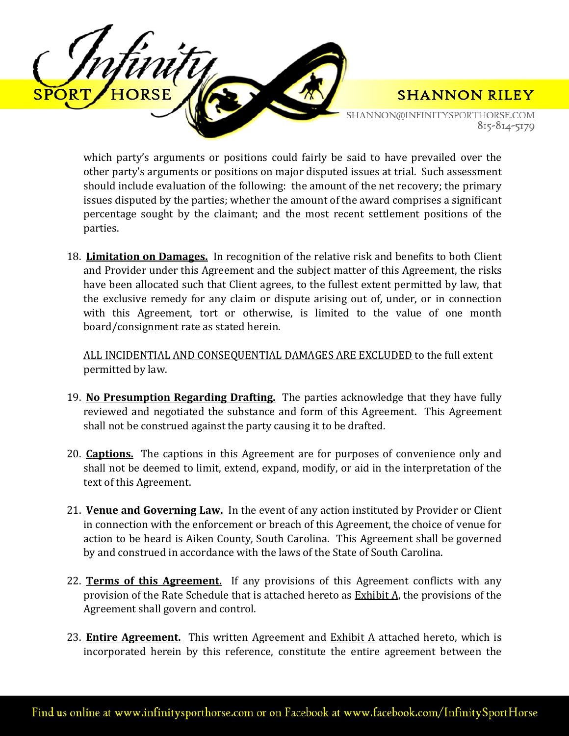

SHANNON@INFINITYSPORTHORSE.COM 815-814-5179

which party's arguments or positions could fairly be said to have prevailed over the other party's arguments or positions on major disputed issues at trial. Such assessment should include evaluation of the following: the amount of the net recovery; the primary issues disputed by the parties; whether the amount of the award comprises a significant percentage sought by the claimant; and the most recent settlement positions of the parties.

18. **Limitation on Damages.** In recognition of the relative risk and benefits to both Client and Provider under this Agreement and the subject matter of this Agreement, the risks have been allocated such that Client agrees, to the fullest extent permitted by law, that the exclusive remedy for any claim or dispute arising out of, under, or in connection with this Agreement, tort or otherwise, is limited to the value of one month board/consignment rate as stated herein.

ALL INCIDENTIAL AND CONSEQUENTIAL DAMAGES ARE EXCLUDED to the full extent permitted by law.

- 19. **No Presumption Regarding Drafting.** The parties acknowledge that they have fully reviewed and negotiated the substance and form of this Agreement. This Agreement shall not be construed against the party causing it to be drafted.
- 20. **Captions.** The captions in this Agreement are for purposes of convenience only and shall not be deemed to limit, extend, expand, modify, or aid in the interpretation of the text of this Agreement.
- 21. **Venue and Governing Law.** In the event of any action instituted by Provider or Client in connection with the enforcement or breach of this Agreement, the choice of venue for action to be heard is Aiken County, South Carolina. This Agreement shall be governed by and construed in accordance with the laws of the State of South Carolina.
- 22. **Terms of this Agreement.** If any provisions of this Agreement conflicts with any provision of the Rate Schedule that is attached hereto as Exhibit A, the provisions of the Agreement shall govern and control.
- 23. **Entire Agreement.** This written Agreement and Exhibit A attached hereto, which is incorporated herein by this reference, constitute the entire agreement between the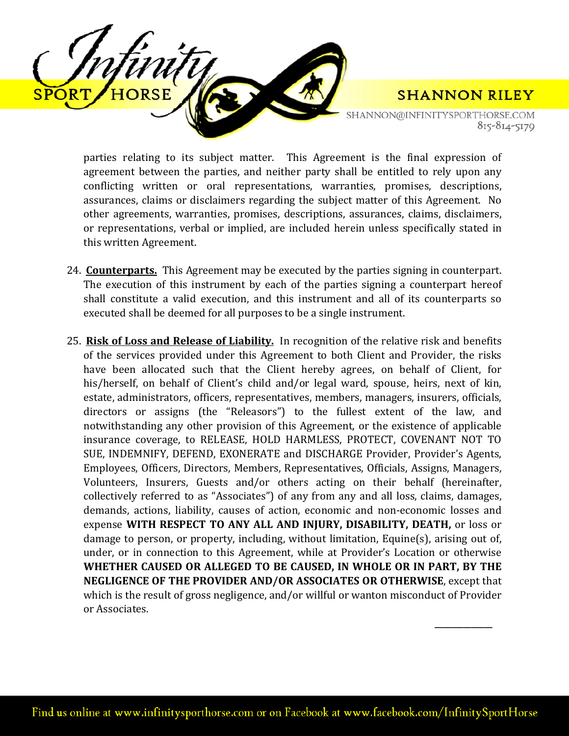

 $\frac{1}{\sqrt{2}}$ 

SHANNON@INFINITYSPORTHORSE.COM 815-814-5179

parties relating to its subject matter. This Agreement is the final expression of agreement between the parties, and neither party shall be entitled to rely upon any conflicting written or oral representations, warranties, promises, descriptions, assurances, claims or disclaimers regarding the subject matter of this Agreement. No other agreements, warranties, promises, descriptions, assurances, claims, disclaimers, or representations, verbal or implied, are included herein unless specifically stated in this written Agreement.

- 24. **Counterparts.** This Agreement may be executed by the parties signing in counterpart. The execution of this instrument by each of the parties signing a counterpart hereof shall constitute a valid execution, and this instrument and all of its counterparts so executed shall be deemed for all purposes to be a single instrument.
- 25. **Risk of Loss and Release of Liability.** In recognition of the relative risk and benefits of the services provided under this Agreement to both Client and Provider, the risks have been allocated such that the Client hereby agrees, on behalf of Client, for his/herself, on behalf of Client's child and/or legal ward, spouse, heirs, next of kin, estate, administrators, officers, representatives, members, managers, insurers, officials, directors or assigns (the "Releasors") to the fullest extent of the law, and notwithstanding any other provision of this Agreement, or the existence of applicable insurance coverage, to RELEASE, HOLD HARMLESS, PROTECT, COVENANT NOT TO SUE, INDEMNIFY, DEFEND, EXONERATE and DISCHARGE Provider, Provider's Agents, Employees, Officers, Directors, Members, Representatives, Officials, Assigns, Managers, Volunteers, Insurers, Guests and/or others acting on their behalf (hereinafter, collectively referred to as "Associates") of any from any and all loss, claims, damages, demands, actions, liability, causes of action, economic and non-economic losses and expense **WITH RESPECT TO ANY ALL AND INJURY, DISABILITY, DEATH,** or loss or damage to person, or property, including, without limitation, Equine(s), arising out of, under, or in connection to this Agreement, while at Provider's Location or otherwise **WHETHER CAUSED OR ALLEGED TO BE CAUSED, IN WHOLE OR IN PART, BY THE NEGLIGENCE OF THE PROVIDER AND/OR ASSOCIATES OR OTHERWISE**, except that which is the result of gross negligence, and/or willful or wanton misconduct of Provider or Associates.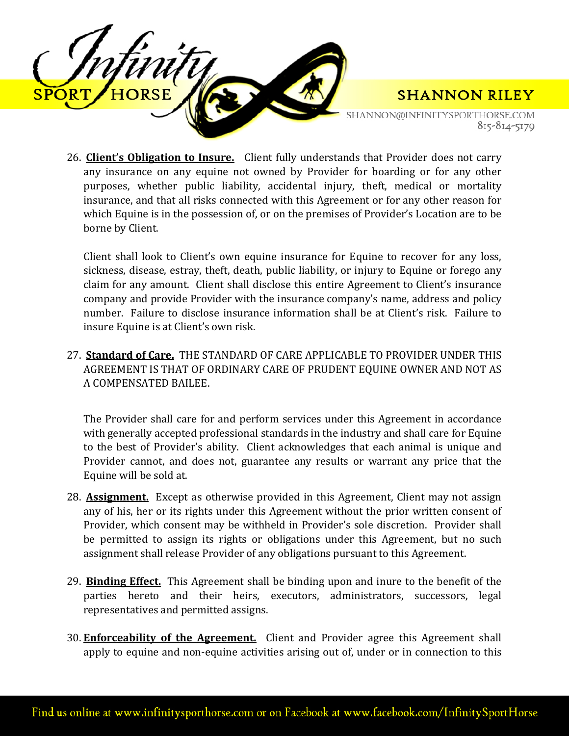

SHANNON@INFINITYSPORTHORSE.COM 815-814-5179

26. **Client's Obligation to Insure.** Client fully understands that Provider does not carry any insurance on any equine not owned by Provider for boarding or for any other purposes, whether public liability, accidental injury, theft, medical or mortality insurance, and that all risks connected with this Agreement or for any other reason for which Equine is in the possession of, or on the premises of Provider's Location are to be borne by Client.

Client shall look to Client's own equine insurance for Equine to recover for any loss, sickness, disease, estray, theft, death, public liability, or injury to Equine or forego any claim for any amount. Client shall disclose this entire Agreement to Client's insurance company and provide Provider with the insurance company's name, address and policy number. Failure to disclose insurance information shall be at Client's risk. Failure to insure Equine is at Client's own risk.

27. **Standard of Care.** THE STANDARD OF CARE APPLICABLE TO PROVIDER UNDER THIS AGREEMENT IS THAT OF ORDINARY CARE OF PRUDENT EQUINE OWNER AND NOT AS A COMPENSATED BAILEE.

The Provider shall care for and perform services under this Agreement in accordance with generally accepted professional standards in the industry and shall care for Equine to the best of Provider's ability. Client acknowledges that each animal is unique and Provider cannot, and does not, guarantee any results or warrant any price that the Equine will be sold at.

- 28. **Assignment.** Except as otherwise provided in this Agreement, Client may not assign any of his, her or its rights under this Agreement without the prior written consent of Provider, which consent may be withheld in Provider's sole discretion. Provider shall be permitted to assign its rights or obligations under this Agreement, but no such assignment shall release Provider of any obligations pursuant to this Agreement.
- 29. **Binding Effect.** This Agreement shall be binding upon and inure to the benefit of the parties hereto and their heirs, executors, administrators, successors, legal representatives and permitted assigns.
- 30. **Enforceability of the Agreement.** Client and Provider agree this Agreement shall apply to equine and non-equine activities arising out of, under or in connection to this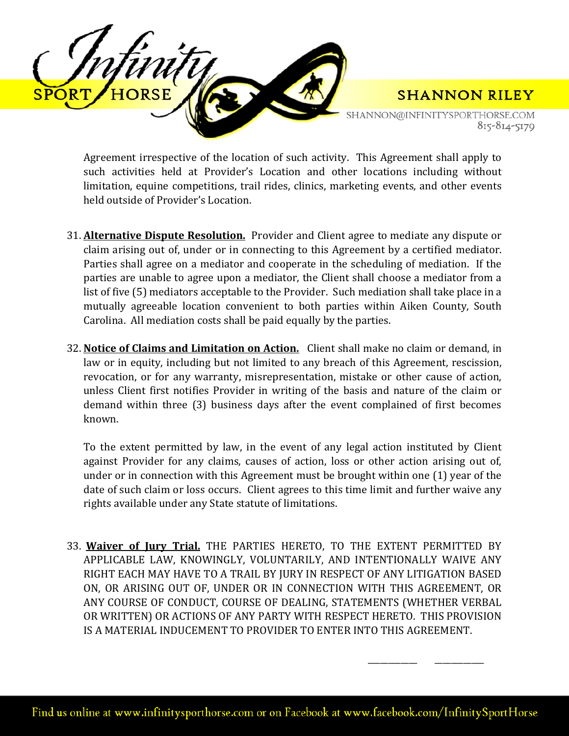

SHANNON@INFINITYSPORTHORSE.COM 815-814-5179

\_\_\_\_\_\_\_\_\_\_\_\_ \_\_\_\_\_\_\_\_\_\_\_\_

Agreement irrespective of the location of such activity. This Agreement shall apply to such activities held at Provider's Location and other locations including without limitation, equine competitions, trail rides, clinics, marketing events, and other events held outside of Provider's Location.

- 31. **Alternative Dispute Resolution.** Provider and Client agree to mediate any dispute or claim arising out of, under or in connecting to this Agreement by a certified mediator. Parties shall agree on a mediator and cooperate in the scheduling of mediation. If the parties are unable to agree upon a mediator, the Client shall choose a mediator from a list of five (5) mediators acceptable to the Provider. Such mediation shall take place in a mutually agreeable location convenient to both parties within Aiken County, South Carolina. All mediation costs shall be paid equally by the parties.
- 32. **Notice of Claims and Limitation on Action.** Client shall make no claim or demand, in law or in equity, including but not limited to any breach of this Agreement, rescission, revocation, or for any warranty, misrepresentation, mistake or other cause of action, unless Client first notifies Provider in writing of the basis and nature of the claim or demand within three (3) business days after the event complained of first becomes known.

To the extent permitted by law, in the event of any legal action instituted by Client against Provider for any claims, causes of action, loss or other action arising out of, under or in connection with this Agreement must be brought within one (1) year of the date of such claim or loss occurs. Client agrees to this time limit and further waive any rights available under any State statute of limitations.

33. **Waiver of Jury Trial.** THE PARTIES HERETO, TO THE EXTENT PERMITTED BY APPLICABLE LAW, KNOWINGLY, VOLUNTARILY, AND INTENTIONALLY WAIVE ANY RIGHT EACH MAY HAVE TO A TRAIL BY JURY IN RESPECT OF ANY LITIGATION BASED ON, OR ARISING OUT OF, UNDER OR IN CONNECTION WITH THIS AGREEMENT, OR ANY COURSE OF CONDUCT, COURSE OF DEALING, STATEMENTS (WHETHER VERBAL OR WRITTEN) OR ACTIONS OF ANY PARTY WITH RESPECT HERETO. THIS PROVISION IS A MATERIAL INDUCEMENT TO PROVIDER TO ENTER INTO THIS AGREEMENT.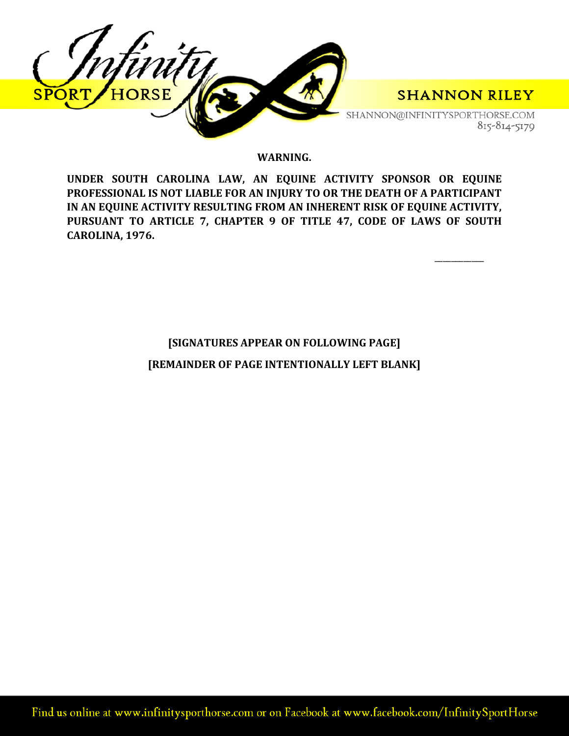

#### **WARNING.**

**UNDER SOUTH CAROLINA LAW, AN EQUINE ACTIVITY SPONSOR OR EQUINE PROFESSIONAL IS NOT LIABLE FOR AN INJURY TO OR THE DEATH OF A PARTICIPANT IN AN EQUINE ACTIVITY RESULTING FROM AN INHERENT RISK OF EQUINE ACTIVITY, PURSUANT TO ARTICLE 7, CHAPTER 9 OF TITLE 47, CODE OF LAWS OF SOUTH CAROLINA, 1976.** 

\_\_\_\_\_\_\_\_\_\_\_\_

# **[SIGNATURES APPEAR ON FOLLOWING PAGE] [REMAINDER OF PAGE INTENTIONALLY LEFT BLANK]**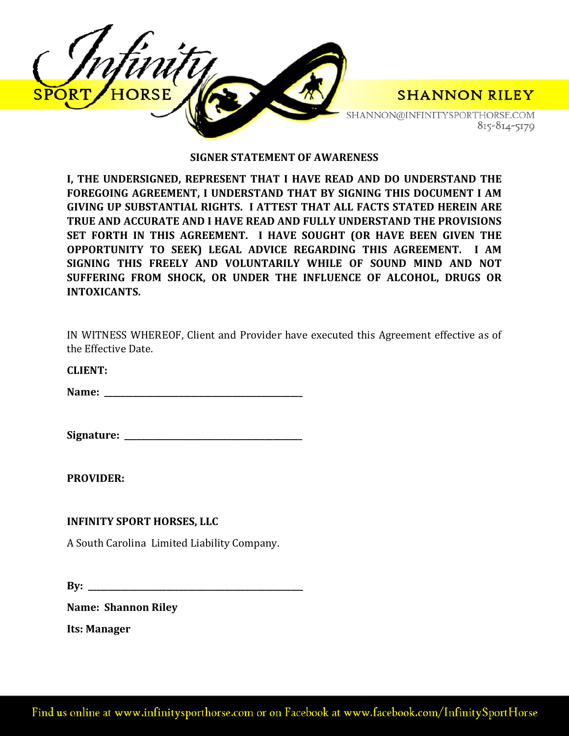

#### **SIGNER STATEMENT OF AWARENESS**

**I, THE UNDERSIGNED, REPRESENT THAT I HAVE READ AND DO UNDERSTAND THE FOREGOING AGREEMENT, I UNDERSTAND THAT BY SIGNING THIS DOCUMENT I AM GIVING UP SUBSTANTIAL RIGHTS. I ATTEST THAT ALL FACTS STATED HEREIN ARE TRUE AND ACCURATE AND I HAVE READ AND FULLY UNDERSTAND THE PROVISIONS SET FORTH IN THIS AGREEMENT. I HAVE SOUGHT (OR HAVE BEEN GIVEN THE OPPORTUNITY TO SEEK) LEGAL ADVICE REGARDING THIS AGREEMENT. I AM SIGNING THIS FREELY AND VOLUNTARILY WHILE OF SOUND MIND AND NOT SUFFERING FROM SHOCK, OR UNDER THE INFLUENCE OF ALCOHOL, DRUGS OR INTOXICANTS.** 

| IN WITNESS WHEREOF, Client and Provider have executed this Agreement effective as of |  |  |  |  |  |
|--------------------------------------------------------------------------------------|--|--|--|--|--|
| the Effective Date.                                                                  |  |  |  |  |  |

**CLIENT:** 

**Name: \_\_\_\_\_\_\_\_\_\_\_\_\_\_\_\_\_\_\_\_\_\_\_\_\_\_\_\_\_\_\_\_\_\_\_\_\_\_\_\_\_\_\_\_\_\_\_\_**

**Signature: \_\_\_\_\_\_\_\_\_\_\_\_\_\_\_\_\_\_\_\_\_\_\_\_\_\_\_\_\_\_\_\_\_\_\_\_\_\_\_\_\_\_\_**

**PROVIDER:** 

### **INFINITY SPORT HORSES, LLC**

A South Carolina Limited Liability Company.

**By: \_\_\_\_\_\_\_\_\_\_\_\_\_\_\_\_\_\_\_\_\_\_\_\_\_\_\_\_\_\_\_\_\_\_\_\_\_\_\_\_\_\_\_\_\_\_\_\_\_\_\_\_**

**Name: Shannon Riley**

**Its: Manager**